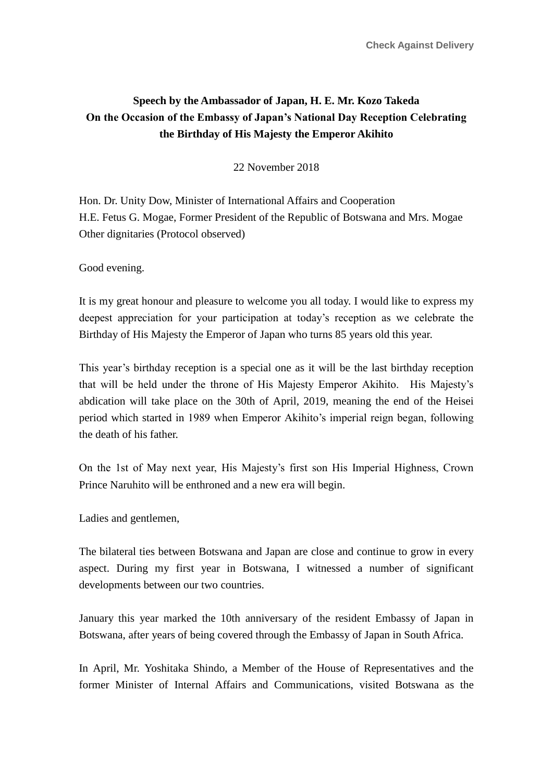## **Speech by the Ambassador of Japan, H. E. Mr. Kozo Takeda On the Occasion of the Embassy of Japan's National Day Reception Celebrating the Birthday of His Majesty the Emperor Akihito**

22 November 2018

Hon. Dr. Unity Dow, Minister of International Affairs and Cooperation H.E. Fetus G. Mogae, Former President of the Republic of Botswana and Mrs. Mogae Other dignitaries (Protocol observed)

Good evening.

It is my great honour and pleasure to welcome you all today. I would like to express my deepest appreciation for your participation at today's reception as we celebrate the Birthday of His Majesty the Emperor of Japan who turns 85 years old this year.

This year's birthday reception is a special one as it will be the last birthday reception that will be held under the throne of His Majesty Emperor Akihito. His Majesty's abdication will take place on the 30th of April, 2019, meaning the end of the Heisei period which started in 1989 when Emperor Akihito's imperial reign began, following the death of his father.

On the 1st of May next year, His Majesty's first son His Imperial Highness, Crown Prince Naruhito will be enthroned and a new era will begin.

Ladies and gentlemen,

The bilateral ties between Botswana and Japan are close and continue to grow in every aspect. During my first year in Botswana, I witnessed a number of significant developments between our two countries.

January this year marked the 10th anniversary of the resident Embassy of Japan in Botswana, after years of being covered through the Embassy of Japan in South Africa.

In April, Mr. Yoshitaka Shindo, a Member of the House of Representatives and the former Minister of Internal Affairs and Communications, visited Botswana as the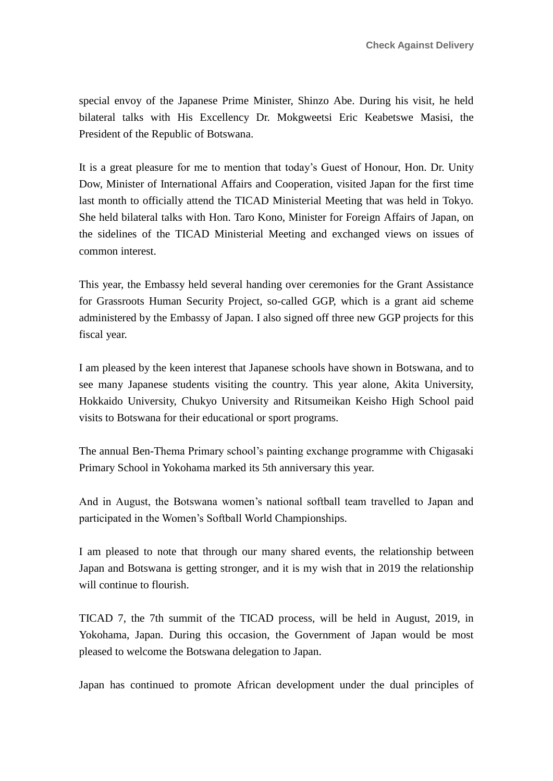special envoy of the Japanese Prime Minister, Shinzo Abe. During his visit, he held bilateral talks with His Excellency Dr. Mokgweetsi Eric Keabetswe Masisi, the President of the Republic of Botswana.

It is a great pleasure for me to mention that today's Guest of Honour, Hon. Dr. Unity Dow, Minister of International Affairs and Cooperation, visited Japan for the first time last month to officially attend the TICAD Ministerial Meeting that was held in Tokyo. She held bilateral talks with Hon. Taro Kono, Minister for Foreign Affairs of Japan, on the sidelines of the TICAD Ministerial Meeting and exchanged views on issues of common interest.

This year, the Embassy held several handing over ceremonies for the Grant Assistance for Grassroots Human Security Project, so-called GGP, which is a grant aid scheme administered by the Embassy of Japan. I also signed off three new GGP projects for this fiscal year.

I am pleased by the keen interest that Japanese schools have shown in Botswana, and to see many Japanese students visiting the country. This year alone, Akita University, Hokkaido University, Chukyo University and Ritsumeikan Keisho High School paid visits to Botswana for their educational or sport programs.

The annual Ben-Thema Primary school's painting exchange programme with Chigasaki Primary School in Yokohama marked its 5th anniversary this year.

And in August, the Botswana women's national softball team travelled to Japan and participated in the Women's Softball World Championships.

I am pleased to note that through our many shared events, the relationship between Japan and Botswana is getting stronger, and it is my wish that in 2019 the relationship will continue to flourish.

TICAD 7, the 7th summit of the TICAD process, will be held in August, 2019, in Yokohama, Japan. During this occasion, the Government of Japan would be most pleased to welcome the Botswana delegation to Japan.

Japan has continued to promote African development under the dual principles of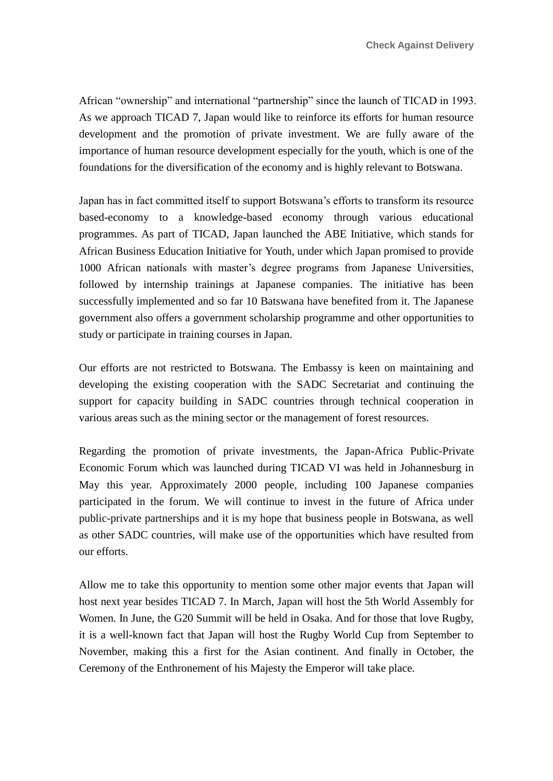African "ownership" and international "partnership" since the launch of TICAD in 1993. As we approach TICAD 7, Japan would like to reinforce its efforts for human resource development and the promotion of private investment. We are fully aware of the importance of human resource development especially for the youth, which is one of the foundations for the diversification of the economy and is highly relevant to Botswana.

Japan has in fact committed itself to support Botswana's efforts to transform its resource based-economy to a knowledge-based economy through various educational programmes. As part of TICAD, Japan launched the ABE Initiative, which stands for African Business Education Initiative for Youth, under which Japan promised to provide 1000 African nationals with master's degree programs from Japanese Universities, followed by internship trainings at Japanese companies. The initiative has been successfully implemented and so far 10 Batswana have benefited from it. The Japanese government also offers a government scholarship programme and other opportunities to study or participate in training courses in Japan.

Our efforts are not restricted to Botswana. The Embassy is keen on maintaining and developing the existing cooperation with the SADC Secretariat and continuing the support for capacity building in SADC countries through technical cooperation in various areas such as the mining sector or the management of forest resources.

Regarding the promotion of private investments, the Japan-Africa Public-Private Economic Forum which was launched during TICAD VI was held in Johannesburg in May this year. Approximately 2000 people, including 100 Japanese companies participated in the forum. We will continue to invest in the future of Africa under public-private partnerships and it is my hope that business people in Botswana, as well as other SADC countries, will make use of the opportunities which have resulted from our efforts.

Allow me to take this opportunity to mention some other major events that Japan will host next year besides TICAD 7. In March, Japan will host the 5th World Assembly for Women. In June, the G20 Summit will be held in Osaka. And for those that love Rugby, it is a well-known fact that Japan will host the Rugby World Cup from September to November, making this a first for the Asian continent. And finally in October, the Ceremony of the Enthronement of his Majesty the Emperor will take place.